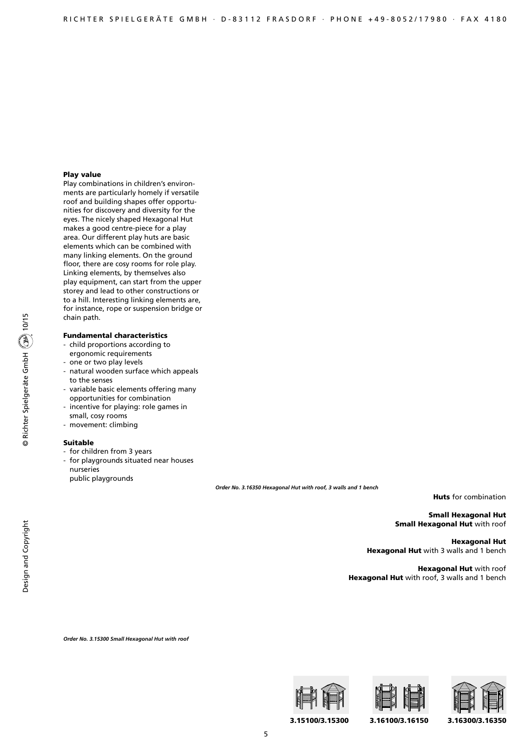## Play value

Play combinations in children's environments are particularly homely if versatile roof and building shapes offer opportunities for discovery and diversity for the eyes. The nicely shaped Hexagonal Hut makes a good centre-piece for a play area. Our different play huts are basic elements which can be combined with many linking elements. On the ground floor, there are cosy rooms for role play. Linking elements, by themselves also play equipment, can start from the upper storey and lead to other constructions or to a hill. Interesting linking elements are, for instance, rope or suspension bridge or chain path.

## Fundamental characteristics

- child proportions according to
- ergonomic requirements
- one or two play levels
- natural wooden surface which appeals to the senses
- variable basic elements offering many opportunities for combination
- incentive for playing: role games in small, cosy rooms
- movement: climbing

#### Suitable

- for children from 3 years
- for playgrounds situated near houses
- nurseries

public playgrounds

*Order No. 3.16350 Hexagonal Hut with roof, 3 walls and 1 bench*

Huts for combination

Small Hexagonal Hut **Small Hexagonal Hut** with roof

Hexagonal Hut Hexagonal Hut with 3 walls and 1 bench

Hexagonal Hut with roof Hexagonal Hut with roof, 3 walls and 1 bench

*Order No. 3.15300 Small Hexagonal Hut with roof*